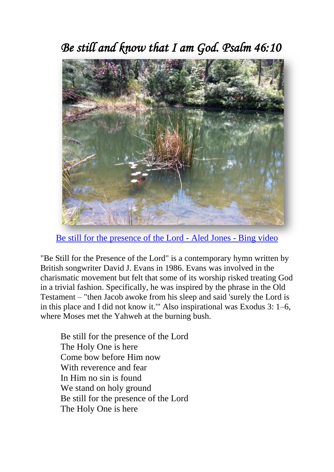## *Be still and know that I am God. Psalm 46:10*



[Be still for the presence of the Lord -](https://www.bing.com/videos/search?q=be+still+for+the+presence+of+the+lord+youtube&docid=608024793677956074&mid=6442B9785BBACF050B986442B9785BBACF050B98&view=detail&FORM=VIRE) Aled Jones - Bing video

"Be Still for the Presence of the Lord" is a contemporary hymn written by British songwriter David J. Evans in 1986. Evans was involved in the charismatic movement but felt that some of its worship risked treating God in a trivial fashion. Specifically, he was inspired by the phrase in the Old Testament – "then Jacob awoke from his sleep and said 'surely the Lord is in this place and I did not know it.'" Also inspirational was Exodus 3: 1–6, where Moses met the Yahweh at the burning bush.

Be still for the presence of the Lord The Holy One is here Come bow before Him now With reverence and fear In Him no sin is found We stand on holy ground Be still for the presence of the Lord The Holy One is here